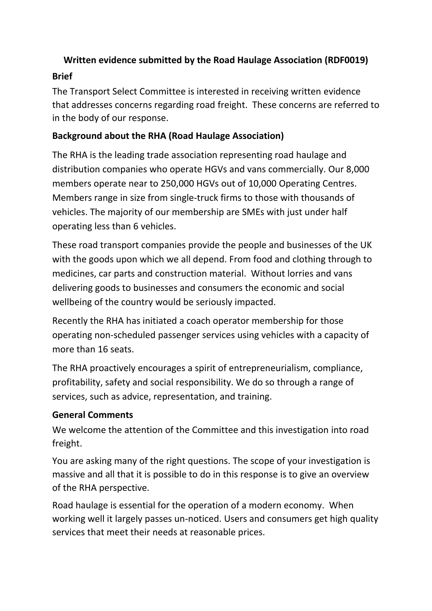### **Written evidence submitted by the Road Haulage Association (RDF0019)**

### **Brief**

The Transport Select Committee is interested in receiving written evidence that addresses concerns regarding road freight. These concerns are referred to in the body of our response.

### **Background about the RHA (Road Haulage Association)**

The RHA is the leading trade association representing road haulage and distribution companies who operate HGVs and vans commercially. Our 8,000 members operate near to 250,000 HGVs out of 10,000 Operating Centres. Members range in size from single-truck firms to those with thousands of vehicles. The majority of our membership are SMEs with just under half operating less than 6 vehicles.

These road transport companies provide the people and businesses of the UK with the goods upon which we all depend. From food and clothing through to medicines, car parts and construction material. Without lorries and vans delivering goods to businesses and consumers the economic and social wellbeing of the country would be seriously impacted.

Recently the RHA has initiated a coach operator membership for those operating non-scheduled passenger services using vehicles with a capacity of more than 16 seats.

The RHA proactively encourages a spirit of entrepreneurialism, compliance, profitability, safety and social responsibility. We do so through a range of services, such as advice, representation, and training.

### **General Comments**

We welcome the attention of the Committee and this investigation into road freight.

You are asking many of the right questions. The scope of your investigation is massive and all that it is possible to do in this response is to give an overview of the RHA perspective.

Road haulage is essential for the operation of a modern economy. When working well it largely passes un-noticed. Users and consumers get high quality services that meet their needs at reasonable prices.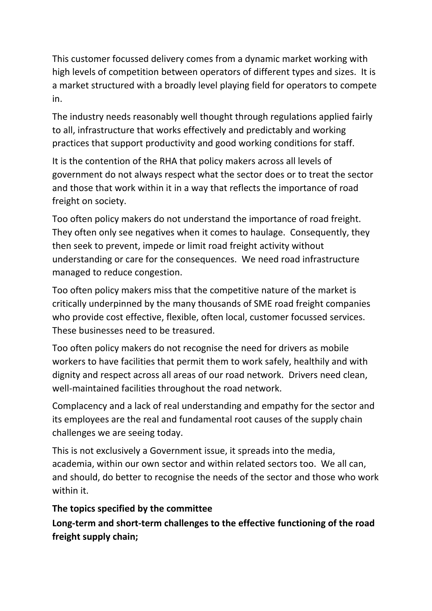This customer focussed delivery comes from a dynamic market working with high levels of competition between operators of different types and sizes. It is a market structured with a broadly level playing field for operators to compete in.

The industry needs reasonably well thought through regulations applied fairly to all, infrastructure that works effectively and predictably and working practices that support productivity and good working conditions for staff.

It is the contention of the RHA that policy makers across all levels of government do not always respect what the sector does or to treat the sector and those that work within it in a way that reflects the importance of road freight on society.

Too often policy makers do not understand the importance of road freight. They often only see negatives when it comes to haulage. Consequently, they then seek to prevent, impede or limit road freight activity without understanding or care for the consequences. We need road infrastructure managed to reduce congestion.

Too often policy makers miss that the competitive nature of the market is critically underpinned by the many thousands of SME road freight companies who provide cost effective, flexible, often local, customer focussed services. These businesses need to be treasured.

Too often policy makers do not recognise the need for drivers as mobile workers to have facilities that permit them to work safely, healthily and with dignity and respect across all areas of our road network. Drivers need clean, well-maintained facilities throughout the road network.

Complacency and a lack of real understanding and empathy for the sector and its employees are the real and fundamental root causes of the supply chain challenges we are seeing today.

This is not exclusively a Government issue, it spreads into the media, academia, within our own sector and within related sectors too. We all can, and should, do better to recognise the needs of the sector and those who work within it.

## **The topics specified by the committee**

**Long-term and short-term challenges to the effective functioning of the road freight supply chain;**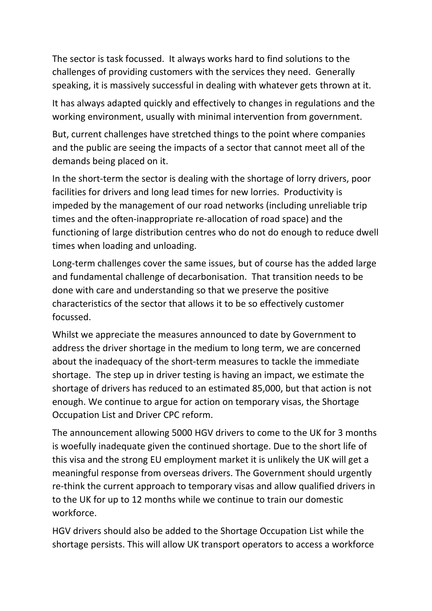The sector is task focussed. It always works hard to find solutions to the challenges of providing customers with the services they need. Generally speaking, it is massively successful in dealing with whatever gets thrown at it.

It has always adapted quickly and effectively to changes in regulations and the working environment, usually with minimal intervention from government.

But, current challenges have stretched things to the point where companies and the public are seeing the impacts of a sector that cannot meet all of the demands being placed on it.

In the short-term the sector is dealing with the shortage of lorry drivers, poor facilities for drivers and long lead times for new lorries. Productivity is impeded by the management of our road networks (including unreliable trip times and the often-inappropriate re-allocation of road space) and the functioning of large distribution centres who do not do enough to reduce dwell times when loading and unloading.

Long-term challenges cover the same issues, but of course has the added large and fundamental challenge of decarbonisation. That transition needs to be done with care and understanding so that we preserve the positive characteristics of the sector that allows it to be so effectively customer focussed.

Whilst we appreciate the measures announced to date by Government to address the driver shortage in the medium to long term, we are concerned about the inadequacy of the short-term measures to tackle the immediate shortage. The step up in driver testing is having an impact, we estimate the shortage of drivers has reduced to an estimated 85,000, but that action is not enough. We continue to argue for action on temporary visas, the Shortage Occupation List and Driver CPC reform.

The announcement allowing 5000 HGV drivers to come to the UK for 3 months is woefully inadequate given the continued shortage. Due to the short life of this visa and the strong EU employment market it is unlikely the UK will get a meaningful response from overseas drivers. The Government should urgently re-think the current approach to temporary visas and allow qualified drivers in to the UK for up to 12 months while we continue to train our domestic workforce.

HGV drivers should also be added to the Shortage Occupation List while the shortage persists. This will allow UK transport operators to access a workforce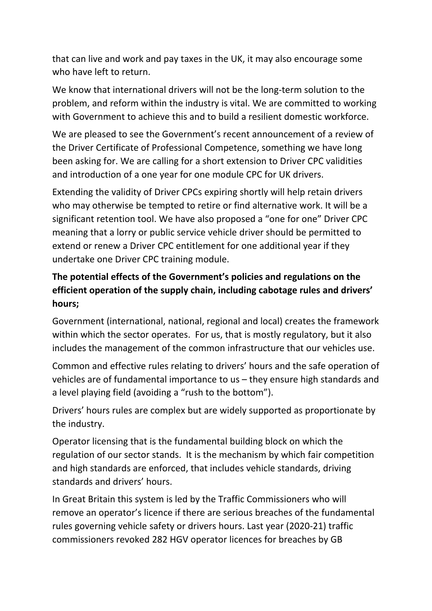that can live and work and pay taxes in the UK, it may also encourage some who have left to return.

We know that international drivers will not be the long-term solution to the problem, and reform within the industry is vital. We are committed to working with Government to achieve this and to build a resilient domestic workforce.

We are pleased to see the Government's recent announcement of a review of the Driver Certificate of Professional Competence, something we have long been asking for. We are calling for a short extension to Driver CPC validities and introduction of a one year for one module CPC for UK drivers.

Extending the validity of Driver CPCs expiring shortly will help retain drivers who may otherwise be tempted to retire or find alternative work. It will be a significant retention tool. We have also proposed a "one for one" Driver CPC meaning that a lorry or public service vehicle driver should be permitted to extend or renew a Driver CPC entitlement for one additional year if they undertake one Driver CPC training module.

# **The potential effects of the Government's policies and regulations on the efficient operation of the supply chain, including cabotage rules and drivers' hours;**

Government (international, national, regional and local) creates the framework within which the sector operates. For us, that is mostly regulatory, but it also includes the management of the common infrastructure that our vehicles use.

Common and effective rules relating to drivers' hours and the safe operation of vehicles are of fundamental importance to us – they ensure high standards and a level playing field (avoiding a "rush to the bottom").

Drivers' hours rules are complex but are widely supported as proportionate by the industry.

Operator licensing that is the fundamental building block on which the regulation of our sector stands. It is the mechanism by which fair competition and high standards are enforced, that includes vehicle standards, driving standards and drivers' hours.

In Great Britain this system is led by the Traffic Commissioners who will remove an operator's licence if there are serious breaches of the fundamental rules governing vehicle safety or drivers hours. Last year (2020-21) traffic commissioners revoked 282 HGV operator licences for breaches by GB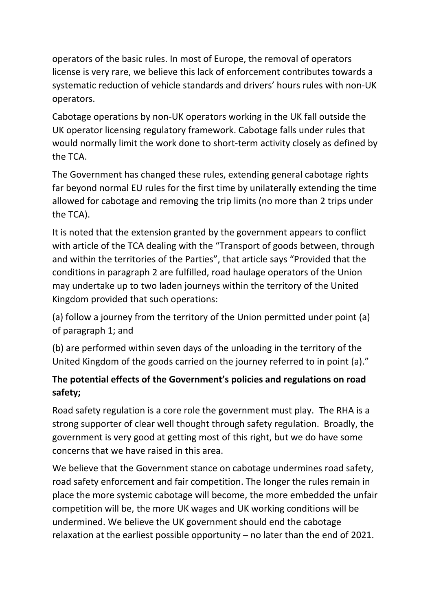operators of the basic rules. In most of Europe, the removal of operators license is very rare, we believe this lack of enforcement contributes towards a systematic reduction of vehicle standards and drivers' hours rules with non-UK operators.

Cabotage operations by non-UK operators working in the UK fall outside the UK operator licensing regulatory framework. Cabotage falls under rules that would normally limit the work done to short-term activity closely as defined by the TCA.

The Government has changed these rules, extending general cabotage rights far beyond normal EU rules for the first time by unilaterally extending the time allowed for cabotage and removing the trip limits (no more than 2 trips under the TCA).

It is noted that the extension granted by the government appears to conflict with article of the TCA dealing with the "Transport of goods between, through and within the territories of the Parties", that article says "Provided that the conditions in paragraph 2 are fulfilled, road haulage operators of the Union may undertake up to two laden journeys within the territory of the United Kingdom provided that such operations:

(a) follow a journey from the territory of the Union permitted under point (a) of paragraph 1; and

(b) are performed within seven days of the unloading in the territory of the United Kingdom of the goods carried on the journey referred to in point (a)."

# **The potential effects of the Government's policies and regulations on road safety;**

Road safety regulation is a core role the government must play. The RHA is a strong supporter of clear well thought through safety regulation. Broadly, the government is very good at getting most of this right, but we do have some concerns that we have raised in this area.

We believe that the Government stance on cabotage undermines road safety, road safety enforcement and fair competition. The longer the rules remain in place the more systemic cabotage will become, the more embedded the unfair competition will be, the more UK wages and UK working conditions will be undermined. We believe the UK government should end the cabotage relaxation at the earliest possible opportunity – no later than the end of 2021.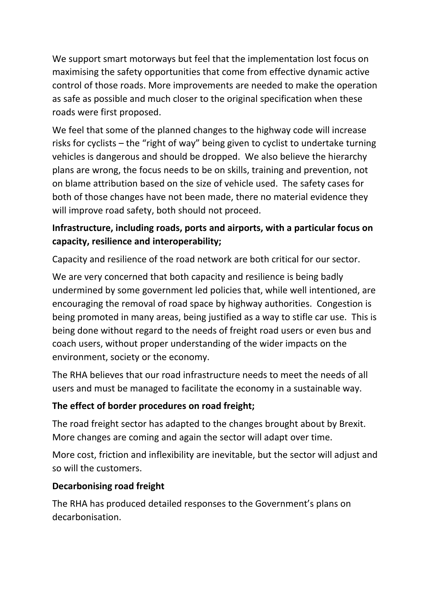We support smart motorways but feel that the implementation lost focus on maximising the safety opportunities that come from effective dynamic active control of those roads. More improvements are needed to make the operation as safe as possible and much closer to the original specification when these roads were first proposed.

We feel that some of the planned changes to the highway code will increase risks for cyclists – the "right of way" being given to cyclist to undertake turning vehicles is dangerous and should be dropped. We also believe the hierarchy plans are wrong, the focus needs to be on skills, training and prevention, not on blame attribution based on the size of vehicle used. The safety cases for both of those changes have not been made, there no material evidence they will improve road safety, both should not proceed.

## **Infrastructure, including roads, ports and airports, with a particular focus on capacity, resilience and interoperability;**

Capacity and resilience of the road network are both critical for our sector.

We are very concerned that both capacity and resilience is being badly undermined by some government led policies that, while well intentioned, are encouraging the removal of road space by highway authorities. Congestion is being promoted in many areas, being justified as a way to stifle car use. This is being done without regard to the needs of freight road users or even bus and coach users, without proper understanding of the wider impacts on the environment, society or the economy.

The RHA believes that our road infrastructure needs to meet the needs of all users and must be managed to facilitate the economy in a sustainable way.

### **The effect of border procedures on road freight;**

The road freight sector has adapted to the changes brought about by Brexit. More changes are coming and again the sector will adapt over time.

More cost, friction and inflexibility are inevitable, but the sector will adjust and so will the customers.

### **Decarbonising road freight**

The RHA has produced detailed responses to the Government's plans on decarbonisation.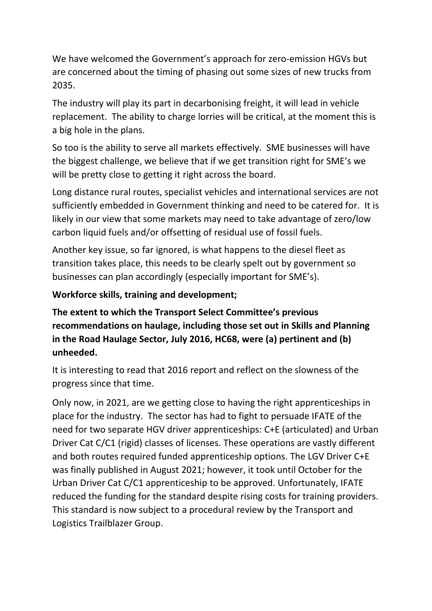We have welcomed the Government's approach for zero-emission HGVs but are concerned about the timing of phasing out some sizes of new trucks from 2035.

The industry will play its part in decarbonising freight, it will lead in vehicle replacement. The ability to charge lorries will be critical, at the moment this is a big hole in the plans.

So too is the ability to serve all markets effectively. SME businesses will have the biggest challenge, we believe that if we get transition right for SME's we will be pretty close to getting it right across the board.

Long distance rural routes, specialist vehicles and international services are not sufficiently embedded in Government thinking and need to be catered for. It is likely in our view that some markets may need to take advantage of zero/low carbon liquid fuels and/or offsetting of residual use of fossil fuels.

Another key issue, so far ignored, is what happens to the diesel fleet as transition takes place, this needs to be clearly spelt out by government so businesses can plan accordingly (especially important for SME's).

**Workforce skills, training and development;**

**The extent to which the Transport Select Committee's previous recommendations on haulage, including those set out in Skills and Planning in the Road Haulage Sector, July 2016, HC68, were (a) pertinent and (b) unheeded.**

It is interesting to read that 2016 report and reflect on the slowness of the progress since that time.

Only now, in 2021, are we getting close to having the right apprenticeships in place for the industry. The sector has had to fight to persuade IFATE of the need for two separate HGV driver apprenticeships: C+E (articulated) and Urban Driver Cat C/C1 (rigid) classes of licenses. These operations are vastly different and both routes required funded apprenticeship options. The LGV Driver C+E was finally published in August 2021; however, it took until October for the Urban Driver Cat C/C1 apprenticeship to be approved. Unfortunately, IFATE reduced the funding for the standard despite rising costs for training providers. This standard is now subject to a procedural review by the Transport and Logistics Trailblazer Group.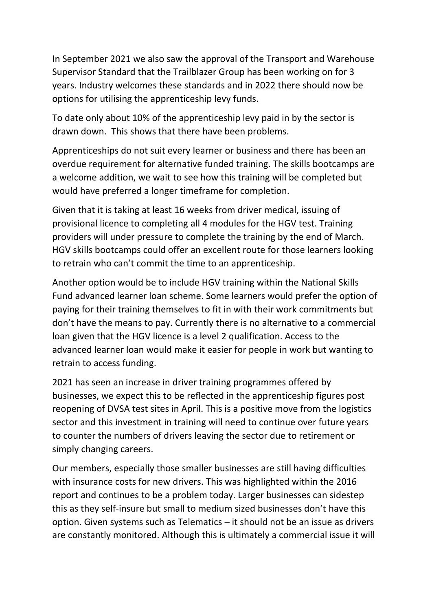In September 2021 we also saw the approval of the Transport and Warehouse Supervisor Standard that the Trailblazer Group has been working on for 3 years. Industry welcomes these standards and in 2022 there should now be options for utilising the apprenticeship levy funds.

To date only about 10% of the apprenticeship levy paid in by the sector is drawn down. This shows that there have been problems.

Apprenticeships do not suit every learner or business and there has been an overdue requirement for alternative funded training. The skills bootcamps are a welcome addition, we wait to see how this training will be completed but would have preferred a longer timeframe for completion.

Given that it is taking at least 16 weeks from driver medical, issuing of provisional licence to completing all 4 modules for the HGV test. Training providers will under pressure to complete the training by the end of March. HGV skills bootcamps could offer an excellent route for those learners looking to retrain who can't commit the time to an apprenticeship.

Another option would be to include HGV training within the National Skills Fund advanced learner loan scheme. Some learners would prefer the option of paying for their training themselves to fit in with their work commitments but don't have the means to pay. Currently there is no alternative to a commercial loan given that the HGV licence is a level 2 qualification. Access to the advanced learner loan would make it easier for people in work but wanting to retrain to access funding.

2021 has seen an increase in driver training programmes offered by businesses, we expect this to be reflected in the apprenticeship figures post reopening of DVSA test sites in April. This is a positive move from the logistics sector and this investment in training will need to continue over future years to counter the numbers of drivers leaving the sector due to retirement or simply changing careers.

Our members, especially those smaller businesses are still having difficulties with insurance costs for new drivers. This was highlighted within the 2016 report and continues to be a problem today. Larger businesses can sidestep this as they self-insure but small to medium sized businesses don't have this option. Given systems such as Telematics – it should not be an issue as drivers are constantly monitored. Although this is ultimately a commercial issue it will